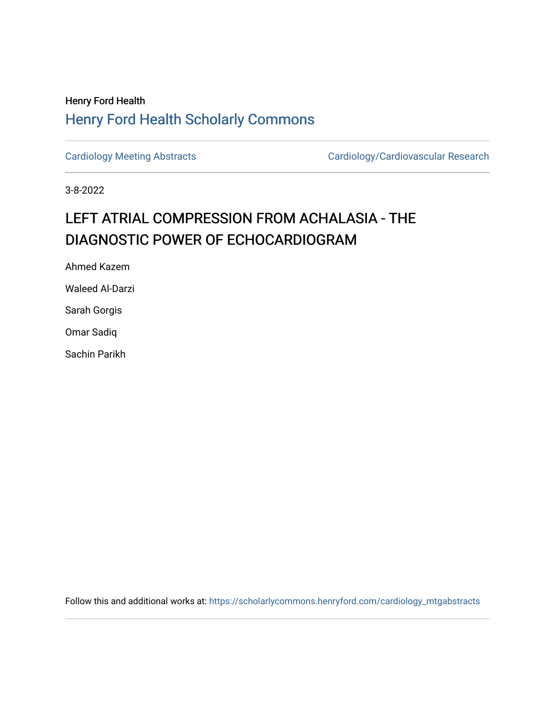## Henry Ford Health [Henry Ford Health Scholarly Commons](https://scholarlycommons.henryford.com/)

[Cardiology Meeting Abstracts](https://scholarlycommons.henryford.com/cardiology_mtgabstracts) [Cardiology/Cardiovascular Research](https://scholarlycommons.henryford.com/cardiology) 

3-8-2022

## LEFT ATRIAL COMPRESSION FROM ACHALASIA - THE DIAGNOSTIC POWER OF ECHOCARDIOGRAM

Ahmed Kazem

Waleed Al-Darzi

Sarah Gorgis

Omar Sadiq

Sachin Parikh

Follow this and additional works at: [https://scholarlycommons.henryford.com/cardiology\\_mtgabstracts](https://scholarlycommons.henryford.com/cardiology_mtgabstracts?utm_source=scholarlycommons.henryford.com%2Fcardiology_mtgabstracts%2F336&utm_medium=PDF&utm_campaign=PDFCoverPages)